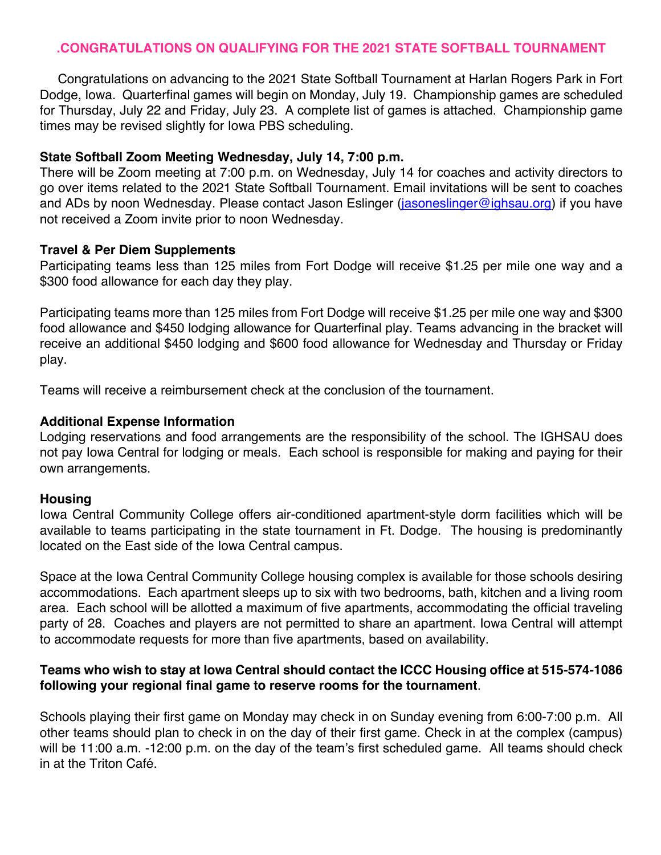## **.CONGRATULATIONS ON QUALIFYING FOR THE 2021 STATE SOFTBALL TOURNAMENT**

 Congratulations on advancing to the 2021 State Softball Tournament at Harlan Rogers Park in Fort Dodge, Iowa. Quarterfinal games will begin on Monday, July 19. Championship games are scheduled for Thursday, July 22 and Friday, July 23. A complete list of games is attached. Championship game times may be revised slightly for Iowa PBS scheduling.

## **State Softball Zoom Meeting Wednesday, July 14, 7:00 p.m.**

There will be Zoom meeting at 7:00 p.m. on Wednesday, July 14 for coaches and activity directors to go over items related to the 2021 State Softball Tournament. Email invitations will be sent to coaches and ADs by noon Wednesday. Please contact Jason Eslinger (jasoneslinger@ighsau.org) if you have not received a Zoom invite prior to noon Wednesday.

#### **Travel & Per Diem Supplements**

Participating teams less than 125 miles from Fort Dodge will receive \$1.25 per mile one way and a \$300 food allowance for each day they play.

Participating teams more than 125 miles from Fort Dodge will receive \$1.25 per mile one way and \$300 food allowance and \$450 lodging allowance for Quarterfinal play. Teams advancing in the bracket will receive an additional \$450 lodging and \$600 food allowance for Wednesday and Thursday or Friday play.

Teams will receive a reimbursement check at the conclusion of the tournament.

#### **Additional Expense Information**

Lodging reservations and food arrangements are the responsibility of the school. The IGHSAU does not pay Iowa Central for lodging or meals. Each school is responsible for making and paying for their own arrangements.

## **Housing**

Iowa Central Community College offers air-conditioned apartment-style dorm facilities which will be available to teams participating in the state tournament in Ft. Dodge. The housing is predominantly located on the East side of the Iowa Central campus.

Space at the Iowa Central Community College housing complex is available for those schools desiring accommodations. Each apartment sleeps up to six with two bedrooms, bath, kitchen and a living room area. Each school will be allotted a maximum of five apartments, accommodating the official traveling party of 28. Coaches and players are not permitted to share an apartment. Iowa Central will attempt to accommodate requests for more than five apartments, based on availability.

## **Teams who wish to stay at Iowa Central should contact the ICCC Housing office at 515-574-1086 following your regional final game to reserve rooms for the tournament**.

Schools playing their first game on Monday may check in on Sunday evening from 6:00-7:00 p.m. All other teams should plan to check in on the day of their first game. Check in at the complex (campus) will be 11:00 a.m. -12:00 p.m. on the day of the team's first scheduled game. All teams should check in at the Triton Café.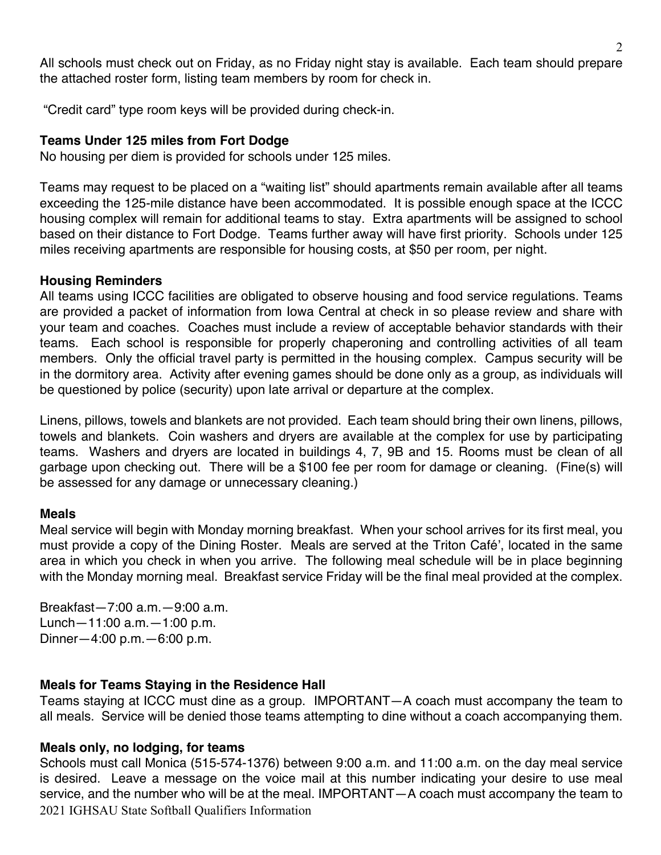All schools must check out on Friday, as no Friday night stay is available. Each team should prepare the attached roster form, listing team members by room for check in.

"Credit card" type room keys will be provided during check-in.

# **Teams Under 125 miles from Fort Dodge**

No housing per diem is provided for schools under 125 miles.

Teams may request to be placed on a "waiting list" should apartments remain available after all teams exceeding the 125-mile distance have been accommodated. It is possible enough space at the ICCC housing complex will remain for additional teams to stay. Extra apartments will be assigned to school based on their distance to Fort Dodge. Teams further away will have first priority. Schools under 125 miles receiving apartments are responsible for housing costs, at \$50 per room, per night.

## **Housing Reminders**

All teams using ICCC facilities are obligated to observe housing and food service regulations. Teams are provided a packet of information from Iowa Central at check in so please review and share with your team and coaches. Coaches must include a review of acceptable behavior standards with their teams. Each school is responsible for properly chaperoning and controlling activities of all team members. Only the official travel party is permitted in the housing complex. Campus security will be in the dormitory area. Activity after evening games should be done only as a group, as individuals will be questioned by police (security) upon late arrival or departure at the complex.

Linens, pillows, towels and blankets are not provided. Each team should bring their own linens, pillows, towels and blankets. Coin washers and dryers are available at the complex for use by participating teams. Washers and dryers are located in buildings 4, 7, 9B and 15. Rooms must be clean of all garbage upon checking out. There will be a \$100 fee per room for damage or cleaning. (Fine(s) will be assessed for any damage or unnecessary cleaning.)

## **Meals**

Meal service will begin with Monday morning breakfast. When your school arrives for its first meal, you must provide a copy of the Dining Roster. Meals are served at the Triton Café', located in the same area in which you check in when you arrive. The following meal schedule will be in place beginning with the Monday morning meal. Breakfast service Friday will be the final meal provided at the complex.

Breakfast—7:00 a.m.—9:00 a.m. Lunch—11:00 a.m.—1:00 p.m. Dinner—4:00 p.m.—6:00 p.m.

## **Meals for Teams Staying in the Residence Hall**

Teams staying at ICCC must dine as a group. IMPORTANT—A coach must accompany the team to all meals. Service will be denied those teams attempting to dine without a coach accompanying them.

## **Meals only, no lodging, for teams**

2021 IGHSAU State Softball Qualifiers Information Schools must call Monica (515-574-1376) between 9:00 a.m. and 11:00 a.m. on the day meal service is desired. Leave a message on the voice mail at this number indicating your desire to use meal service, and the number who will be at the meal. IMPORTANT—A coach must accompany the team to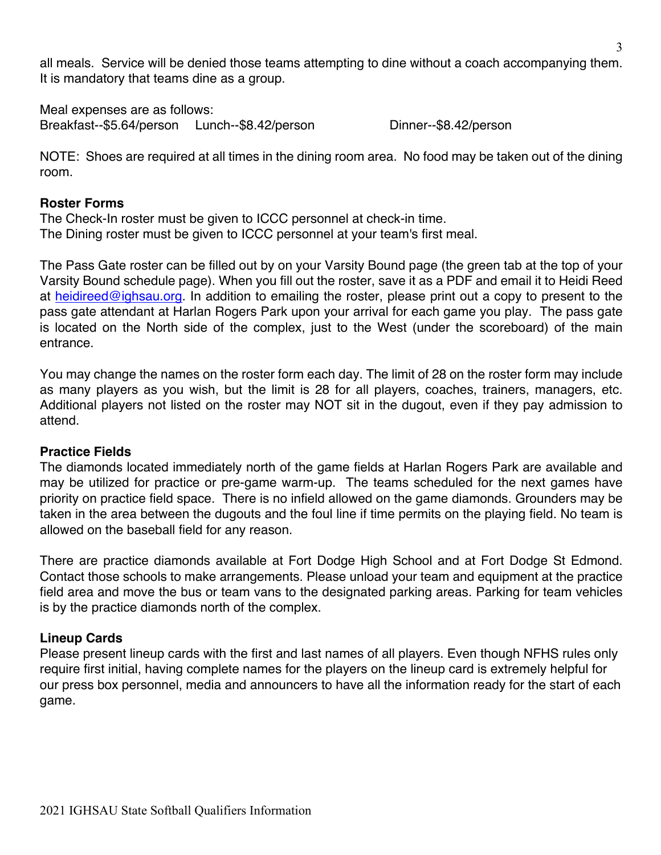all meals. Service will be denied those teams attempting to dine without a coach accompanying them. It is mandatory that teams dine as a group.

Meal expenses are as follows: Breakfast--\$5.64/person Lunch--\$8.42/person Dinner--\$8.42/person

NOTE: Shoes are required at all times in the dining room area. No food may be taken out of the dining room.

## **Roster Forms**

The Check-In roster must be given to ICCC personnel at check-in time. The Dining roster must be given to ICCC personnel at your team's first meal.

The Pass Gate roster can be filled out by on your Varsity Bound page (the green tab at the top of your Varsity Bound schedule page). When you fill out the roster, save it as a PDF and email it to Heidi Reed at heidireed@ighsau.org. In addition to emailing the roster, please print out a copy to present to the pass gate attendant at Harlan Rogers Park upon your arrival for each game you play. The pass gate is located on the North side of the complex, just to the West (under the scoreboard) of the main entrance.

You may change the names on the roster form each day. The limit of 28 on the roster form may include as many players as you wish, but the limit is 28 for all players, coaches, trainers, managers, etc. Additional players not listed on the roster may NOT sit in the dugout, even if they pay admission to attend.

## **Practice Fields**

The diamonds located immediately north of the game fields at Harlan Rogers Park are available and may be utilized for practice or pre-game warm-up. The teams scheduled for the next games have priority on practice field space. There is no infield allowed on the game diamonds. Grounders may be taken in the area between the dugouts and the foul line if time permits on the playing field. No team is allowed on the baseball field for any reason.

There are practice diamonds available at Fort Dodge High School and at Fort Dodge St Edmond. Contact those schools to make arrangements. Please unload your team and equipment at the practice field area and move the bus or team vans to the designated parking areas. Parking for team vehicles is by the practice diamonds north of the complex.

# **Lineup Cards**

Please present lineup cards with the first and last names of all players. Even though NFHS rules only require first initial, having complete names for the players on the lineup card is extremely helpful for our press box personnel, media and announcers to have all the information ready for the start of each game.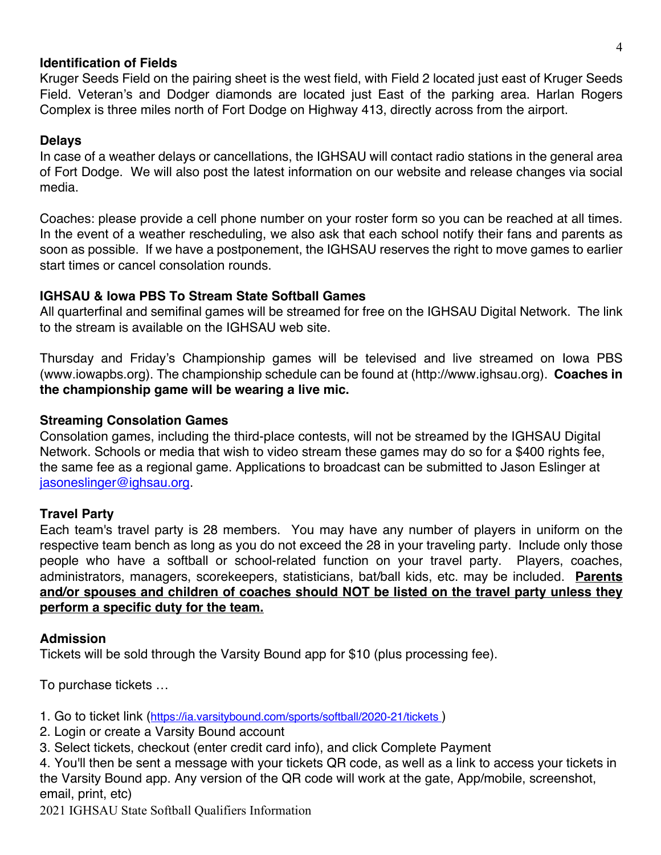## **Identification of Fields**

Kruger Seeds Field on the pairing sheet is the west field, with Field 2 located just east of Kruger Seeds Field. Veteran's and Dodger diamonds are located just East of the parking area. Harlan Rogers Complex is three miles north of Fort Dodge on Highway 413, directly across from the airport.

## **Delays**

In case of a weather delays or cancellations, the IGHSAU will contact radio stations in the general area of Fort Dodge. We will also post the latest information on our website and release changes via social media.

Coaches: please provide a cell phone number on your roster form so you can be reached at all times. In the event of a weather rescheduling, we also ask that each school notify their fans and parents as soon as possible. If we have a postponement, the IGHSAU reserves the right to move games to earlier start times or cancel consolation rounds.

# **IGHSAU & Iowa PBS To Stream State Softball Games**

All quarterfinal and semifinal games will be streamed for free on the IGHSAU Digital Network. The link to the stream is available on the IGHSAU web site.

Thursday and Friday's Championship games will be televised and live streamed on Iowa PBS (www.iowapbs.org). The championship schedule can be found at (http://www.ighsau.org). **Coaches in the championship game will be wearing a live mic.** 

# **Streaming Consolation Games**

Consolation games, including the third-place contests, will not be streamed by the IGHSAU Digital Network. Schools or media that wish to video stream these games may do so for a \$400 rights fee, the same fee as a regional game. Applications to broadcast can be submitted to Jason Eslinger at jasoneslinger@ighsau.org.

# **Travel Party**

Each team's travel party is 28 members. You may have any number of players in uniform on the respective team bench as long as you do not exceed the 28 in your traveling party. Include only those people who have a softball or school-related function on your travel party. Players, coaches, administrators, managers, scorekeepers, statisticians, bat/ball kids, etc. may be included. **Parents and/or spouses and children of coaches should NOT be listed on the travel party unless they perform a specific duty for the team.**

## **Admission**

Tickets will be sold through the Varsity Bound app for \$10 (plus processing fee).

To purchase tickets …

1. Go to ticket link (https://ia.varsitybound.com/sports/softball/2020-21/tickets )

- 2. Login or create a Varsity Bound account
- 3. Select tickets, checkout (enter credit card info), and click Complete Payment

4. You'll then be sent a message with your tickets QR code, as well as a link to access your tickets in the Varsity Bound app. Any version of the QR code will work at the gate, App/mobile, screenshot, email, print, etc)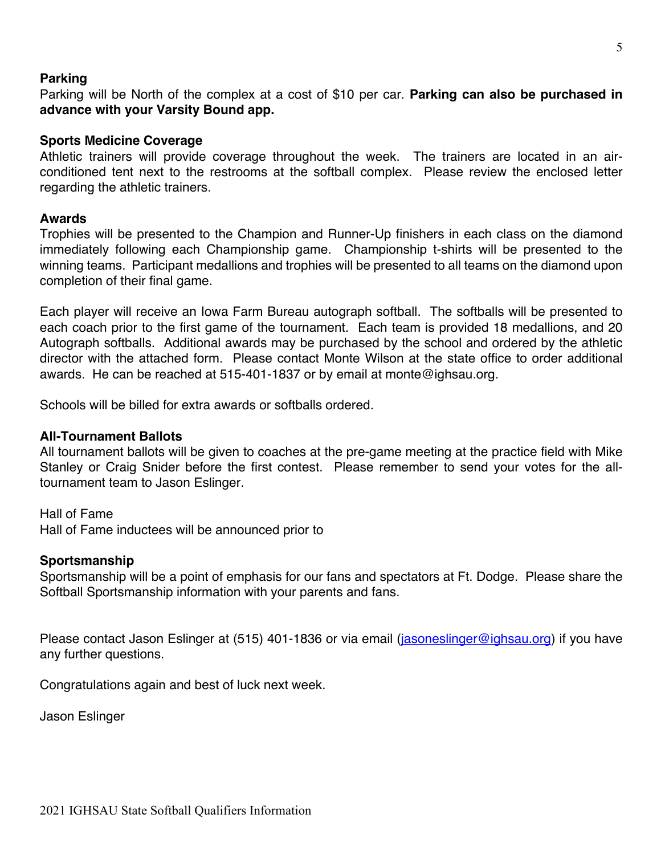#### **Parking**

Parking will be North of the complex at a cost of \$10 per car. **Parking can also be purchased in advance with your Varsity Bound app.**

#### **Sports Medicine Coverage**

Athletic trainers will provide coverage throughout the week. The trainers are located in an airconditioned tent next to the restrooms at the softball complex. Please review the enclosed letter regarding the athletic trainers.

#### **Awards**

Trophies will be presented to the Champion and Runner-Up finishers in each class on the diamond immediately following each Championship game. Championship t-shirts will be presented to the winning teams. Participant medallions and trophies will be presented to all teams on the diamond upon completion of their final game.

Each player will receive an Iowa Farm Bureau autograph softball. The softballs will be presented to each coach prior to the first game of the tournament. Each team is provided 18 medallions, and 20 Autograph softballs. Additional awards may be purchased by the school and ordered by the athletic director with the attached form. Please contact Monte Wilson at the state office to order additional awards. He can be reached at 515-401-1837 or by email at monte@ighsau.org.

Schools will be billed for extra awards or softballs ordered.

## **All-Tournament Ballots**

All tournament ballots will be given to coaches at the pre-game meeting at the practice field with Mike Stanley or Craig Snider before the first contest. Please remember to send your votes for the alltournament team to Jason Eslinger.

Hall of Fame Hall of Fame inductees will be announced prior to

#### **Sportsmanship**

Sportsmanship will be a point of emphasis for our fans and spectators at Ft. Dodge. Please share the Softball Sportsmanship information with your parents and fans.

Please contact Jason Eslinger at (515) 401-1836 or via email (jasoneslinger@ighsau.org) if you have any further questions.

Congratulations again and best of luck next week.

Jason Eslinger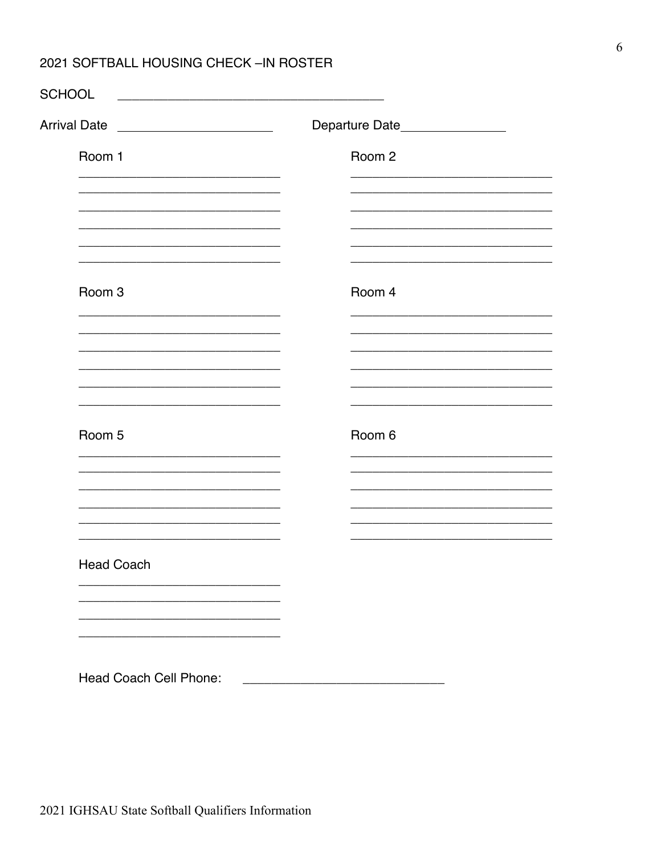# 2021 SOFTBALL HOUSING CHECK-IN ROSTER

| <b>Arrival Date</b><br><u> 1989 - Andrea Barbara, poeta esperanto-</u> | Departure Date_________________ |
|------------------------------------------------------------------------|---------------------------------|
| Room 1                                                                 | Room 2                          |
|                                                                        |                                 |
|                                                                        |                                 |
|                                                                        |                                 |
| Room 3                                                                 | Room 4                          |
|                                                                        |                                 |
|                                                                        |                                 |
|                                                                        |                                 |
| Room 5                                                                 | Room 6                          |
|                                                                        |                                 |
|                                                                        |                                 |
| <b>Head Coach</b>                                                      |                                 |
|                                                                        |                                 |
|                                                                        |                                 |
|                                                                        |                                 |